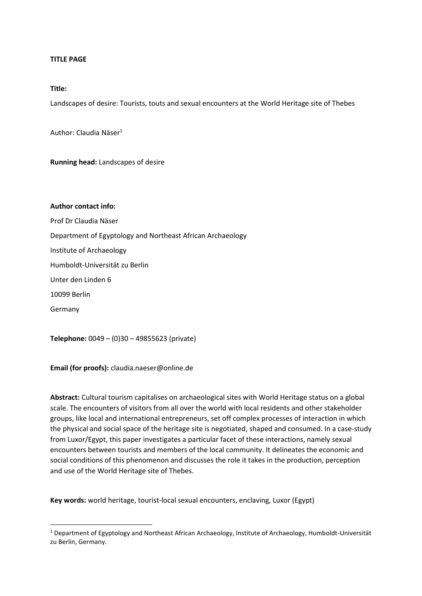#### **TITLE PAGE**

### **Title:**

Landscapes of desire: Tourists, touts and sexual encounters at the World Heritage site of Thebes

Author: Claudia Näser<sup>1</sup>

**Running head:** Landscapes of desire

**Author contact info:** 

Prof Dr Claudia Näser

Department of Egyptology and Northeast African Archaeology

Institute of Archaeology

Humboldt-Universität zu Berlin

Unter den Linden 6

10099 Berlin

Germany

**Telephone:** 0049 – (0)30 – 49855623 (private)

**Email (for proofs):** claudia.naeser@online.de

**Abstract:** Cultural tourism capitalises on archaeological sites with World Heritage status on a global scale. The encounters of visitors from all over the world with local residents and other stakeholder groups, like local and international entrepreneurs, set off complex processes of interaction in which the physical and social space of the heritage site is negotiated, shaped and consumed. In a case-study from Luxor/Egypt, this paper investigates a particular facet of these interactions, namely sexual encounters between tourists and members of the local community. It delineates the economic and social conditions of this phenomenon and discusses the role it takes in the production, perception and use of the World Heritage site of Thebes.

**Key words:** world heritage, tourist-local sexual encounters, enclaving, Luxor (Egypt)

<sup>1</sup> Department of Egyptology and Northeast African Archaeology, Institute of Archaeology, Humboldt-Universität zu Berlin, Germany.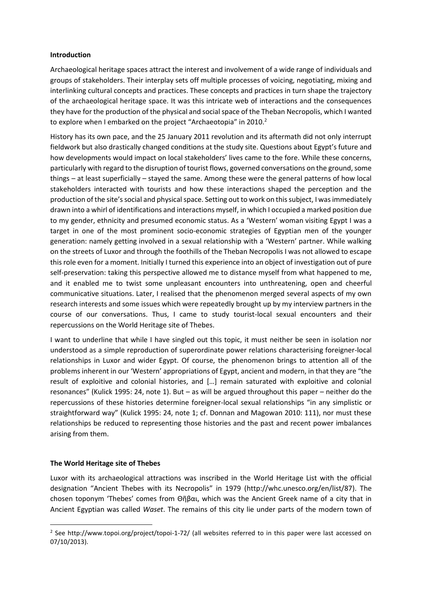### **Introduction**

Archaeological heritage spaces attract the interest and involvement of a wide range of individuals and groups of stakeholders. Their interplay sets off multiple processes of voicing, negotiating, mixing and interlinking cultural concepts and practices. These concepts and practices in turn shape the trajectory of the archaeological heritage space. It was this intricate web of interactions and the consequences they have for the production of the physical and social space of the Theban Necropolis, which I wanted to explore when I embarked on the project "Archaeotopia" in 2010.<sup>2</sup>

History has its own pace, and the 25 January 2011 revolution and its aftermath did not only interrupt fieldwork but also drastically changed conditions at the study site. Questions about Egypt's future and how developments would impact on local stakeholders' lives came to the fore. While these concerns, particularly with regard to the disruption of tourist flows, governed conversations on the ground, some things – at least superficially – stayed the same. Among these were the general patterns of how local stakeholders interacted with tourists and how these interactions shaped the perception and the production of the site's social and physical space. Setting out to work on this subject, I was immediately drawn into a whirl of identifications and interactions myself, in which I occupied a marked position due to my gender, ethnicity and presumed economic status. As a 'Western' woman visiting Egypt I was a target in one of the most prominent socio-economic strategies of Egyptian men of the younger generation: namely getting involved in a sexual relationship with a 'Western' partner. While walking on the streets of Luxor and through the foothills of the Theban Necropolis I was not allowed to escape this role even for a moment. Initially I turned this experience into an object of investigation out of pure self-preservation: taking this perspective allowed me to distance myself from what happened to me, and it enabled me to twist some unpleasant encounters into unthreatening, open and cheerful communicative situations. Later, I realised that the phenomenon merged several aspects of my own research interests and some issues which were repeatedly brought up by my interview partners in the course of our conversations. Thus, I came to study tourist-local sexual encounters and their repercussions on the World Heritage site of Thebes.

I want to underline that while I have singled out this topic, it must neither be seen in isolation nor understood as a simple reproduction of superordinate power relations characterising foreigner-local relationships in Luxor and wider Egypt. Of course, the phenomenon brings to attention all of the problems inherent in our 'Western' appropriations of Egypt, ancient and modern, in that they are "the result of exploitive and colonial histories, and […] remain saturated with exploitive and colonial resonances" (Kulick 1995: 24, note 1). But – as will be argued throughout this paper – neither do the repercussions of these histories determine foreigner-local sexual relationships "in any simplistic or straightforward way" (Kulick 1995: 24, note 1; cf. Donnan and Magowan 2010: 111), nor must these relationships be reduced to representing those histories and the past and recent power imbalances arising from them.

# **The World Heritage site of Thebes**

Luxor with its archaeological attractions was inscribed in the World Heritage List with the official designation "Ancient Thebes with its Necropolis" in 1979 ([http://whc.unesco.org/en/list/87\)](http://whc.unesco.org/en/list/87). The chosen toponym 'Thebes' comes from Θῆβαι, which was the Ancient Greek name of a city that in Ancient Egyptian was called *Waset*. The remains of this city lie under parts of the modern town of

<sup>&</sup>lt;sup>2</sup> See<http://www.topoi.org/project/topoi-1-72/> (all websites referred to in this paper were last accessed on 07/10/2013).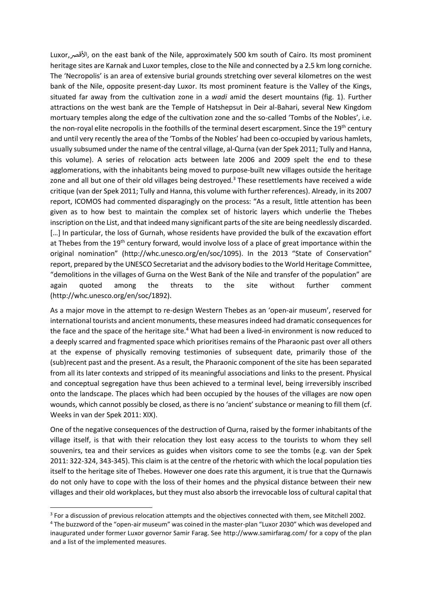Luxor,األقصر, on the east bank of the Nile, approximately 500 km south of Cairo. Its most prominent heritage sites are Karnak and Luxor temples, close to the Nile and connected by a 2.5 km long corniche. The 'Necropolis' is an area of extensive burial grounds stretching over several kilometres on the west bank of the Nile, opposite present-day Luxor. Its most prominent feature is the Valley of the Kings, situated far away from the cultivation zone in a *wadi* amid the desert mountains (fig. 1). Further attractions on the west bank are the Temple of Hatshepsut in Deir al-Bahari, several New Kingdom mortuary temples along the edge of the cultivation zone and the so-called 'Tombs of the Nobles', i.e. the non-royal elite necropolis in the foothills of the terminal desert escarpment. Since the 19<sup>th</sup> century and until very recently the area of the 'Tombs of the Nobles' had been co-occupied by various hamlets, usually subsumed under the name of the central village, al-Qurna (van der Spek 2011; Tully and Hanna, this volume). A series of relocation acts between late 2006 and 2009 spelt the end to these agglomerations, with the inhabitants being moved to purpose-built new villages outside the heritage zone and all but one of their old villages being destroyed.<sup>3</sup> These resettlements have received a wide critique (van der Spek 2011; Tully and Hanna, this volume with further references). Already, in its 2007 report, ICOMOS had commented disparagingly on the process: "As a result, little attention has been given as to how best to maintain the complex set of historic layers which underlie the Thebes inscription on the List, and that indeed many significant parts of the site are being needlessly discarded. [...] In particular, the loss of Gurnah, whose residents have provided the bulk of the excavation effort at Thebes from the 19<sup>th</sup> century forward, would involve loss of a place of great importance within the original nomination" (http://whc.unesco.org/en/soc/1095). In the 2013 "State of Conservation" report, prepared by the UNESCO Secretariat and the advisory bodies to the World Heritage Committee, "demolitions in the villages of Gurna on the West Bank of the Nile and transfer of the population" are again quoted among the threats to the site without further comment (http://whc.unesco.org/en/soc/1892).

As a major move in the attempt to re-design Western Thebes as an 'open-air museum', reserved for international tourists and ancient monuments, these measures indeed had dramatic consequences for the face and the space of the heritage site.<sup>4</sup> What had been a lived-in environment is now reduced to a deeply scarred and fragmented space which prioritises remains of the Pharaonic past over all others at the expense of physically removing testimonies of subsequent date, primarily those of the (sub)recent past and the present. As a result, the Pharaonic component of the site has been separated from all its later contexts and stripped of its meaningful associations and links to the present. Physical and conceptual segregation have thus been achieved to a terminal level, being irreversibly inscribed onto the landscape. The places which had been occupied by the houses of the villages are now open wounds, which cannot possibly be closed, as there is no 'ancient' substance or meaning to fill them (cf. Weeks in van der Spek 2011: XIX).

One of the negative consequences of the destruction of Qurna, raised by the former inhabitants of the village itself, is that with their relocation they lost easy access to the tourists to whom they sell souvenirs, tea and their services as guides when visitors come to see the tombs (e.g. van der Spek 2011: 322-324, 343-345). This claim is at the centre of the rhetoric with which the local population ties itself to the heritage site of Thebes. However one does rate this argument, it is true that the Qurnawis do not only have to cope with the loss of their homes and the physical distance between their new villages and their old workplaces, but they must also absorb the irrevocable loss of cultural capital that

 $3$  For a discussion of previous relocation attempts and the objectives connected with them, see Mitchell 2002.

<sup>4</sup> The buzzword of the "open-air museum" was coined in the master-plan "Luxor 2030" which was developed and inaugurated under former Luxor governor Samir Farag. See<http://www.samirfarag.com/> for a copy of the plan and a list of the implemented measures.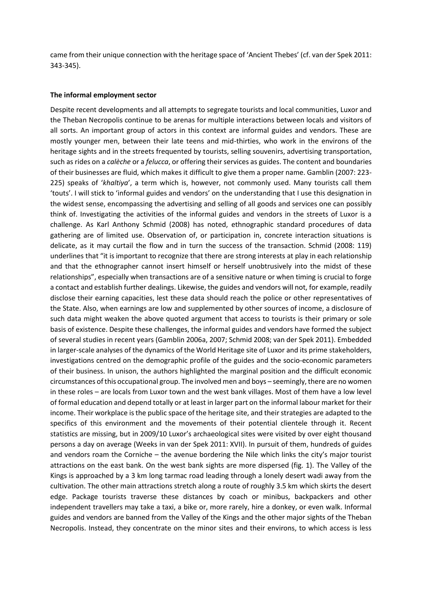came from their unique connection with the heritage space of 'Ancient Thebes' (cf. van der Spek 2011: 343-345).

#### **The informal employment sector**

Despite recent developments and all attempts to segregate tourists and local communities, Luxor and the Theban Necropolis continue to be arenas for multiple interactions between locals and visitors of all sorts. An important group of actors in this context are informal guides and vendors. These are mostly younger men, between their late teens and mid-thirties, who work in the environs of the heritage sights and in the streets frequented by tourists, selling souvenirs, advertising transportation, such as rides on a *calèche* or a *felucca*, or offering their services as guides. The content and boundaries of their businesses are fluid, which makes it difficult to give them a proper name. Gamblin (2007: 223- 225) speaks of '*khaltiya*', a term which is, however, not commonly used. Many tourists call them 'touts'. I will stick to 'informal guides and vendors' on the understanding that I use this designation in the widest sense, encompassing the advertising and selling of all goods and services one can possibly think of. Investigating the activities of the informal guides and vendors in the streets of Luxor is a challenge. As Karl Anthony Schmid (2008) has noted, ethnographic standard procedures of data gathering are of limited use. Observation of, or participation in, concrete interaction situations is delicate, as it may curtail the flow and in turn the success of the transaction. Schmid (2008: 119) underlines that "it is important to recognize that there are strong interests at play in each relationship and that the ethnographer cannot insert himself or herself unobtrusively into the midst of these relationships", especially when transactions are of a sensitive nature or when timing is crucial to forge a contact and establish further dealings. Likewise, the guides and vendors will not, for example, readily disclose their earning capacities, lest these data should reach the police or other representatives of the State. Also, when earnings are low and supplemented by other sources of income, a disclosure of such data might weaken the above quoted argument that access to tourists is their primary or sole basis of existence. Despite these challenges, the informal guides and vendors have formed the subject of several studies in recent years (Gamblin 2006a, 2007; Schmid 2008; van der Spek 2011). Embedded in larger-scale analyses of the dynamics of the World Heritage site of Luxor and its prime stakeholders, investigations centred on the demographic profile of the guides and the socio-economic parameters of their business. In unison, the authors highlighted the marginal position and the difficult economic circumstances of this occupational group. The involved men and boys – seemingly, there are no women in these roles – are locals from Luxor town and the west bank villages. Most of them have a low level of formal education and depend totally or at least in larger part on the informal labour market for their income. Their workplace is the public space of the heritage site, and their strategies are adapted to the specifics of this environment and the movements of their potential clientele through it. Recent statistics are missing, but in 2009/10 Luxor's archaeological sites were visited by over eight thousand persons a day on average (Weeks in van der Spek 2011: XVII). In pursuit of them, hundreds of guides and vendors roam the Corniche – the avenue bordering the Nile which links the city's major tourist attractions on the east bank. On the west bank sights are more dispersed (fig. 1). The Valley of the Kings is approached by a 3 km long tarmac road leading through a lonely desert wadi away from the cultivation. The other main attractions stretch along a route of roughly 3.5 km which skirts the desert edge. Package tourists traverse these distances by coach or minibus, backpackers and other independent travellers may take a taxi, a bike or, more rarely, hire a donkey, or even walk. Informal guides and vendors are banned from the Valley of the Kings and the other major sights of the Theban Necropolis. Instead, they concentrate on the minor sites and their environs, to which access is less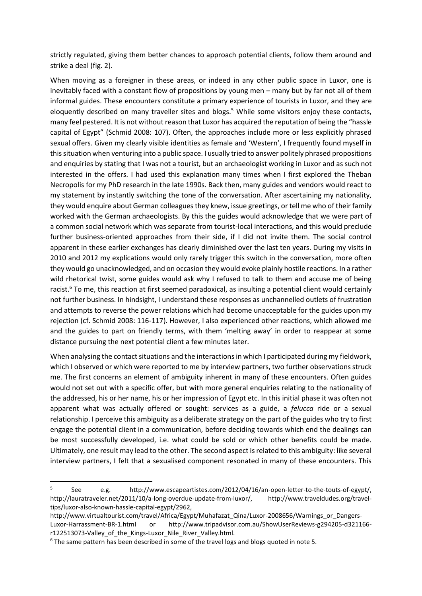strictly regulated, giving them better chances to approach potential clients, follow them around and strike a deal (fig. 2).

When moving as a foreigner in these areas, or indeed in any other public space in Luxor, one is inevitably faced with a constant flow of propositions by young men – many but by far not all of them informal guides. These encounters constitute a primary experience of tourists in Luxor, and they are eloquently described on many traveller sites and blogs.<sup>5</sup> While some visitors enjoy these contacts, many feel pestered. It is not without reason that Luxor has acquired the reputation of being the "hassle capital of Egypt" (Schmid 2008: 107). Often, the approaches include more or less explicitly phrased sexual offers. Given my clearly visible identities as female and 'Western', I frequently found myself in this situation when venturing into a public space. I usually tried to answer politely phrased propositions and enquiries by stating that I was not a tourist, but an archaeologist working in Luxor and as such not interested in the offers. I had used this explanation many times when I first explored the Theban Necropolis for my PhD research in the late 1990s. Back then, many guides and vendors would react to my statement by instantly switching the tone of the conversation. After ascertaining my nationality, they would enquire about German colleagues they knew, issue greetings, or tell me who of their family worked with the German archaeologists. By this the guides would acknowledge that we were part of a common social network which was separate from tourist-local interactions, and this would preclude further business-oriented approaches from their side, if I did not invite them. The social control apparent in these earlier exchanges has clearly diminished over the last ten years. During my visits in 2010 and 2012 my explications would only rarely trigger this switch in the conversation, more often they would go unacknowledged, and on occasion they would evoke plainly hostile reactions. In a rather wild rhetorical twist, some guides would ask why I refused to talk to them and accuse me of being racist.<sup>6</sup> To me, this reaction at first seemed paradoxical, as insulting a potential client would certainly not further business. In hindsight, I understand these responses as unchannelled outlets of frustration and attempts to reverse the power relations which had become unacceptable for the guides upon my rejection (cf. Schmid 2008: 116-117). However, I also experienced other reactions, which allowed me and the guides to part on friendly terms, with them 'melting away' in order to reappear at some distance pursuing the next potential client a few minutes later.

When analysing the contact situations and the interactions in which I participated during my fieldwork, which I observed or which were reported to me by interview partners, two further observations struck me. The first concerns an element of ambiguity inherent in many of these encounters. Often guides would not set out with a specific offer, but with more general enquiries relating to the nationality of the addressed, his or her name, his or her impression of Egypt etc. In this initial phase it was often not apparent what was actually offered or sought: services as a guide, a *felucca* ride or a sexual relationship. I perceive this ambiguity as a deliberate strategy on the part of the guides who try to first engage the potential client in a communication, before deciding towards which end the dealings can be most successfully developed, i.e. what could be sold or which other benefits could be made. Ultimately, one result may lead to the other. The second aspect is related to this ambiguity: like several interview partners, I felt that a sexualised component resonated in many of these encounters. This

<sup>5</sup> See e.g. [http://www.escapeartistes.com/2012/04/16/an-open-letter-to-the-touts-of-egypt/,](http://www.escapeartistes.com/2012/04/16/an-open-letter-to-the-touts-of-egypt/) [http://lauratraveler.net/2011/10/a-long-overdue-update-from-luxor/,](http://lauratraveler.net/2011/10/a-long-overdue-update-from-luxor/) [http://www.traveldudes.org/travel](http://www.traveldudes.org/travel-tips/luxor-also-known-hassle-capital-egypt/2962)[tips/luxor-also-known-hassle-capital-egypt/2962,](http://www.traveldudes.org/travel-tips/luxor-also-known-hassle-capital-egypt/2962) 

[http://www.virtualtourist.com/travel/Africa/Egypt/Muhafazat\\_Qina/Luxor-2008656/Warnings\\_or\\_Dangers-](http://www.virtualtourist.com/travel/Africa/Egypt/Muhafazat_Qina/Luxor-2008656/Warnings_or_Dangers-Luxor-Harrassment-BR-1.html)[Luxor-Harrassment-BR-1.html](http://www.virtualtourist.com/travel/Africa/Egypt/Muhafazat_Qina/Luxor-2008656/Warnings_or_Dangers-Luxor-Harrassment-BR-1.html) or http://www.tripadvisor.com.au/ShowUserReviews-g294205-d321166 r122513073-Valley\_of\_the\_Kings-Luxor\_Nile\_River\_Valley.html.

<sup>&</sup>lt;sup>6</sup> The same pattern has been described in some of the travel logs and blogs quoted in note 5.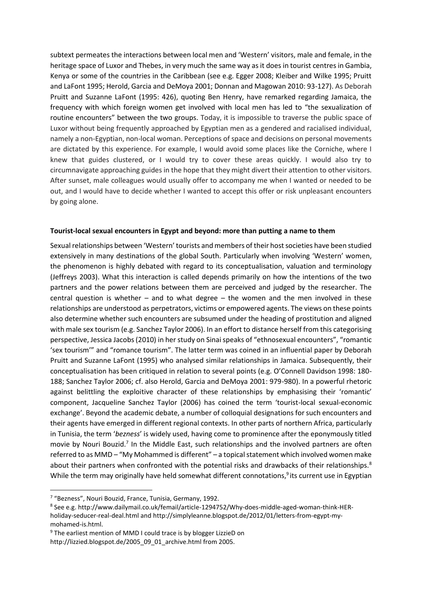subtext permeates the interactions between local men and 'Western' visitors, male and female, in the heritage space of Luxor and Thebes, in very much the same way as it does in tourist centres in Gambia, Kenya or some of the countries in the Caribbean (see e.g. Egger 2008; Kleiber and Wilke 1995; Pruitt and LaFont 1995; Herold, Garcia and DeMoya 2001; Donnan and Magowan 2010: 93-127). As Deborah Pruitt and Suzanne LaFont (1995: 426), quoting Ben Henry, have remarked regarding Jamaica, the frequency with which foreign women get involved with local men has led to "the sexualization of routine encounters" between the two groups. Today, it is impossible to traverse the public space of Luxor without being frequently approached by Egyptian men as a gendered and racialised individual, namely a non-Egyptian, non-local woman. Perceptions of space and decisions on personal movements are dictated by this experience. For example, I would avoid some places like the Corniche, where I knew that guides clustered, or I would try to cover these areas quickly. I would also try to circumnavigate approaching guides in the hope that they might divert their attention to other visitors. After sunset, male colleagues would usually offer to accompany me when I wanted or needed to be out, and I would have to decide whether I wanted to accept this offer or risk unpleasant encounters by going alone.

### **Tourist-local sexual encounters in Egypt and beyond: more than putting a name to them**

Sexual relationships between 'Western' tourists and members of their host societies have been studied extensively in many destinations of the global South. Particularly when involving 'Western' women, the phenomenon is highly debated with regard to its conceptualisation, valuation and terminology (Jeffreys 2003). What this interaction is called depends primarily on how the intentions of the two partners and the power relations between them are perceived and judged by the researcher. The central question is whether – and to what degree – the women and the men involved in these relationships are understood as perpetrators, victims or empowered agents. The views on these points also determine whether such encounters are subsumed under the heading of prostitution and aligned with male sex tourism (e.g. Sanchez Taylor 2006). In an effort to distance herself from this categorising perspective, Jessica Jacobs (2010) in her study on Sinai speaks of "ethnosexual encounters", "romantic 'sex tourism'" and "romance tourism". The latter term was coined in an influential paper by Deborah Pruitt and Suzanne LaFont (1995) who analysed similar relationships in Jamaica. Subsequently, their conceptualisation has been critiqued in relation to several points (e.g. O'Connell Davidson 1998: 180- 188; Sanchez Taylor 2006; cf. also Herold, Garcia and DeMoya 2001: 979-980). In a powerful rhetoric against belittling the exploitive character of these relationships by emphasising their 'romantic' component, Jacqueline Sanchez Taylor (2006) has coined the term 'tourist-local sexual-economic exchange'. Beyond the academic debate, a number of colloquial designations for such encounters and their agents have emerged in different regional contexts. In other parts of northern Africa, particularly in Tunisia, the term '*bezness*' is widely used, having come to prominence after the eponymously titled movie by Nouri Bouzid.<sup>7</sup> In the Middle East, such relationships and the involved partners are often referred to as MMD – "My Mohammed is different" – a topical statement which involved women make about their partners when confronted with the potential risks and drawbacks of their relationships.<sup>8</sup> While the term may originally have held somewhat different connotations,<sup>9</sup> its current use in Egyptian

<sup>&</sup>lt;sup>7</sup> "Bezness", Nouri Bouzid, France, Tunisia, Germany, 1992.

<sup>8</sup> See e.g. [http://www.dailymail.co.uk/femail/article-1294752/Why-does-middle-aged-woman-think-HER](http://www.dailymail.co.uk/femail/article-1294752/Why-does-middle-aged-woman-think-HER-holiday-seducer-real-deal.html)[holiday-seducer-real-deal.html](http://www.dailymail.co.uk/femail/article-1294752/Why-does-middle-aged-woman-think-HER-holiday-seducer-real-deal.html) and http://simplyleanne.blogspot.de/2012/01/letters-from-egypt-mymohamed-is.html.

<sup>9</sup> The earliest mention of MMD I could trace is by blogger LizzieD on [http://lizzied.blogspot.de/2005\\_09\\_01\\_archive.html](http://lizzied.blogspot.de/2005_09_01_archive.html) from 2005.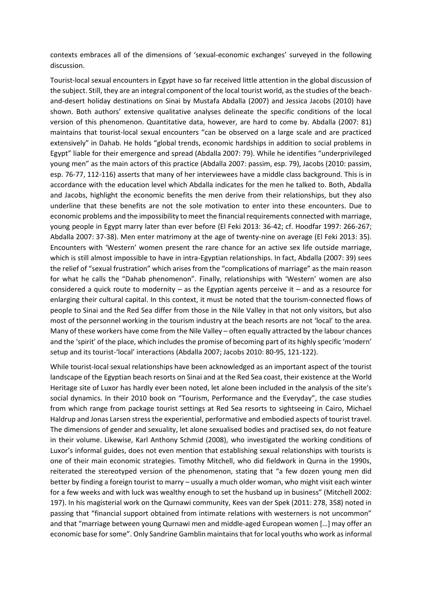contexts embraces all of the dimensions of 'sexual-economic exchanges' surveyed in the following discussion.

Tourist-local sexual encounters in Egypt have so far received little attention in the global discussion of the subject. Still, they are an integral component of the local tourist world, as the studies of the beachand-desert holiday destinations on Sinai by Mustafa Abdalla (2007) and Jessica Jacobs (2010) have shown. Both authors' extensive qualitative analyses delineate the specific conditions of the local version of this phenomenon. Quantitative data, however, are hard to come by. Abdalla (2007: 81) maintains that tourist-local sexual encounters "can be observed on a large scale and are practiced extensively" in Dahab. He holds "global trends, economic hardships in addition to social problems in Egypt" liable for their emergence and spread (Abdalla 2007: 79). While he identifies "underprivileged young men" as the main actors of this practice (Abdalla 2007: passim, esp. 79), Jacobs (2010: passim, esp. 76-77, 112-116) asserts that many of her interviewees have a middle class background. This is in accordance with the education level which Abdalla indicates for the men he talked to. Both, Abdalla and Jacobs, highlight the economic benefits the men derive from their relationships, but they also underline that these benefits are not the sole motivation to enter into these encounters. Due to economic problems and the impossibility to meet the financial requirements connected with marriage, young people in Egypt marry later than ever before (El Feki 2013: 36-42; cf. Hoodfar 1997: 266-267; Abdalla 2007: 37-38). Men enter matrimony at the age of twenty-nine on average (El Feki 2013: 35). Encounters with 'Western' women present the rare chance for an active sex life outside marriage, which is still almost impossible to have in intra-Egyptian relationships. In fact, Abdalla (2007: 39) sees the relief of "sexual frustration" which arises from the "complications of marriage" as the main reason for what he calls the "Dahab phenomenon". Finally, relationships with 'Western' women are also considered a quick route to modernity – as the Egyptian agents perceive it – and as a resource for enlarging their cultural capital. In this context, it must be noted that the tourism-connected flows of people to Sinai and the Red Sea differ from those in the Nile Valley in that not only visitors, but also most of the personnel working in the tourism industry at the beach resorts are not 'local' to the area. Many of these workers have come from the Nile Valley – often equally attracted by the labour chances and the 'spirit' of the place, which includes the promise of becoming part of its highly specific 'modern' setup and its tourist-'local' interactions (Abdalla 2007; Jacobs 2010: 80-95, 121-122).

While tourist-local sexual relationships have been acknowledged as an important aspect of the tourist landscape of the Egyptian beach resorts on Sinai and at the Red Sea coast, their existence at the World Heritage site of Luxor has hardly ever been noted, let alone been included in the analysis of the site's social dynamics. In their 2010 book on "Tourism, Performance and the Everyday", the case studies from which range from package tourist settings at Red Sea resorts to sightseeing in Cairo, Michael Haldrup and Jonas Larsen stress the experiential, performative and embodied aspects of tourist travel. The dimensions of gender and sexuality, let alone sexualised bodies and practised sex, do not feature in their volume. Likewise, Karl Anthony Schmid (2008), who investigated the working conditions of Luxor's informal guides, does not even mention that establishing sexual relationships with tourists is one of their main economic strategies. Timothy Mitchell, who did fieldwork in Qurna in the 1990s, reiterated the stereotyped version of the phenomenon, stating that "a few dozen young men did better by finding a foreign tourist to marry – usually a much older woman, who might visit each winter for a few weeks and with luck was wealthy enough to set the husband up in business" (Mitchell 2002: 197). In his magisterial work on the Qurnawi community, Kees van der Spek (2011: 278, 358) noted in passing that "financial support obtained from intimate relations with westerners is not uncommon" and that "marriage between young Qurnawi men and middle-aged European women […] may offer an economic base for some". Only Sandrine Gamblin maintains that for local youths who work as informal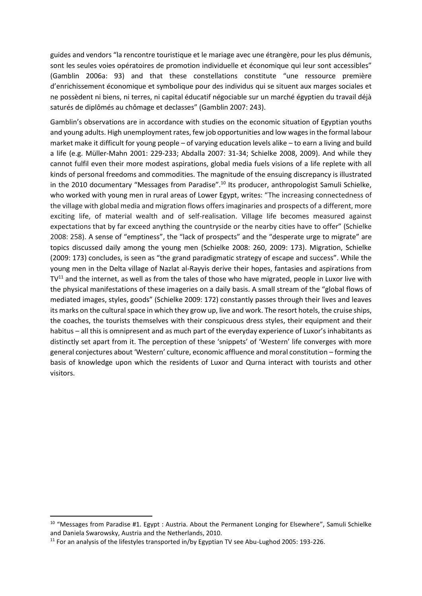guides and vendors "la rencontre touristique et le mariage avec une étrangère, pour les plus démunis, sont les seules voies opératoires de promotion individuelle et économique qui leur sont accessibles" (Gamblin 2006a: 93) and that these constellations constitute "une ressource première d'enrichissement économique et symbolique pour des individus qui se situent aux marges sociales et ne possèdent ni biens, ni terres, ni capital éducatif négociable sur un marché égyptien du travail déjà saturés de diplômés au chômage et declasses" (Gamblin 2007: 243).

Gamblin's observations are in accordance with studies on the economic situation of Egyptian youths and young adults. High unemployment rates, few job opportunities and low wages in the formal labour market make it difficult for young people – of varying education levels alike – to earn a living and build a life (e.g. Müller-Mahn 2001: 229-233; Abdalla 2007: 31-34; Schielke 2008, 2009). And while they cannot fulfil even their more modest aspirations, global media fuels visions of a life replete with all kinds of personal freedoms and commodities. The magnitude of the ensuing discrepancy is illustrated in the 2010 documentary "Messages from Paradise".<sup>10</sup> Its producer, anthropologist Samuli Schielke, who worked with young men in rural areas of Lower Egypt, writes: "The increasing connectedness of the village with global media and migration flows offers imaginaries and prospects of a different, more exciting life, of material wealth and of self-realisation. Village life becomes measured against expectations that by far exceed anything the countryside or the nearby cities have to offer" (Schielke 2008: 258). A sense of "emptiness", the "lack of prospects" and the "desperate urge to migrate" are topics discussed daily among the young men (Schielke 2008: 260, 2009: 173). Migration, Schielke (2009: 173) concludes, is seen as "the grand paradigmatic strategy of escape and success". While the young men in the Delta village of Nazlat al-Rayyis derive their hopes, fantasies and aspirations from  $TV<sup>11</sup>$  and the internet, as well as from the tales of those who have migrated, people in Luxor live with the physical manifestations of these imageries on a daily basis. A small stream of the "global flows of mediated images, styles, goods" (Schielke 2009: 172) constantly passes through their lives and leaves its marks on the cultural space in which they grow up, live and work. The resort hotels, the cruise ships, the coaches, the tourists themselves with their conspicuous dress styles, their equipment and their habitus – all this is omnipresent and as much part of the everyday experience of Luxor's inhabitants as distinctly set apart from it. The perception of these 'snippets' of 'Western' life converges with more general conjectures about 'Western' culture, economic affluence and moral constitution – forming the basis of knowledge upon which the residents of Luxor and Qurna interact with tourists and other visitors.

<sup>&</sup>lt;sup>10</sup> "[Messages from Paradise #1. Egypt : Austria. About the Permanent Longing for Elsewhere](http://www.zimweb.nl/paradise)", Samuli Schielke and Daniela Swarowsky, Austria and the Netherlands, 2010.

<sup>&</sup>lt;sup>11</sup> For an analysis of the lifestyles transported in/by Egyptian TV see Abu-Lughod 2005: 193-226.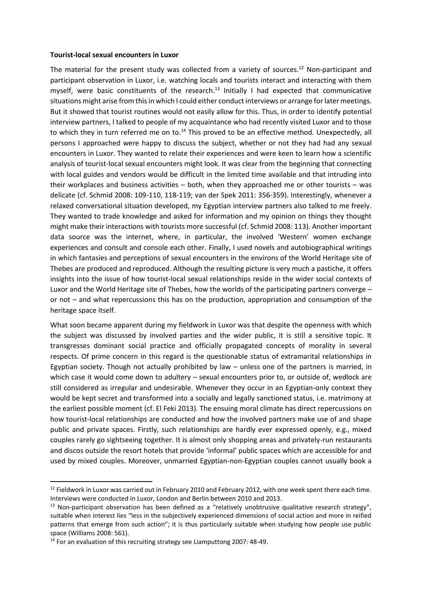#### **Tourist-local sexual encounters in Luxor**

The material for the present study was collected from a variety of sources.<sup>12</sup> Non-participant and participant observation in Luxor, i.e. watching locals and tourists interact and interacting with them myself, were basic constituents of the research.<sup>13</sup> Initially I had expected that communicative situations might arise from this in which I could either conduct interviews or arrange for later meetings. But it showed that tourist routines would not easily allow for this. Thus, in order to identify potential interview partners, I talked to people of my acquaintance who had recently visited Luxor and to those to which they in turn referred me on to.<sup>14</sup> This proved to be an effective method. Unexpectedly, all persons I approached were happy to discuss the subject, whether or not they had had any sexual encounters in Luxor. They wanted to relate their experiences and were keen to learn how a scientific analysis of tourist-local sexual encounters might look. It was clear from the beginning that connecting with local guides and vendors would be difficult in the limited time available and that intruding into their workplaces and business activities – both, when they approached me or other tourists – was delicate (cf. Schmid 2008: 109-110, 118-119; van der Spek 2011: 356-359). Interestingly, whenever a relaxed conversational situation developed, my Egyptian interview partners also talked to me freely. They wanted to trade knowledge and asked for information and my opinion on things they thought might make their interactions with tourists more successful (cf. Schmid 2008: 113). Another important data source was the internet, where, in particular, the involved 'Western' women exchange experiences and consult and console each other. Finally, I used novels and autobiographical writings in which fantasies and perceptions of sexual encounters in the environs of the World Heritage site of Thebes are produced and reproduced. Although the resulting picture is very much a pastiche, it offers insights into the issue of how tourist-local sexual relationships reside in the wider social contexts of Luxor and the World Heritage site of Thebes, how the worlds of the participating partners converge – or not – and what repercussions this has on the production, appropriation and consumption of the heritage space itself.

What soon became apparent during my fieldwork in Luxor was that despite the openness with which the subject was discussed by involved parties and the wider public, it is still a sensitive topic. It transgresses dominant social practice and officially propagated concepts of morality in several respects. Of prime concern in this regard is the questionable status of extramarital relationships in Egyptian society. Though not actually prohibited by law – unless one of the partners is married, in which case it would come down to adultery – sexual encounters prior to, or outside of, wedlock are still considered as irregular and undesirable. Whenever they occur in an Egyptian-only context they would be kept secret and transformed into a socially and legally sanctioned status, i.e. matrimony at the earliest possible moment (cf. El Feki 2013). The ensuing moral climate has direct repercussions on how tourist-local relationships are conducted and how the involved partners make use of and shape public and private spaces. Firstly, such relationships are hardly ever expressed openly, e.g., mixed couples rarely go sightseeing together. It is almost only shopping areas and privately-run restaurants and discos outside the resort hotels that provide 'informal' public spaces which are accessible for and used by mixed couples. Moreover, unmarried Egyptian-non-Egyptian couples cannot usually book a

 $12$  Fieldwork in Luxor was carried out in February 2010 and February 2012, with one week spent there each time. Interviews were conducted in Luxor, London and Berlin between 2010 and 2013.

 $13$  Non-participant observation has been defined as a "relatively unobtrusive qualitative research strategy", suitable when interest lies "less in the subjectively experienced dimensions of social action and more in reified patterns that emerge from such action"; it is thus particularly suitable when studying how people use public space (Williams 2008: 561).

<sup>&</sup>lt;sup>14</sup> For an evaluation of this recruiting strategy see Liamputtong 2007: 48-49.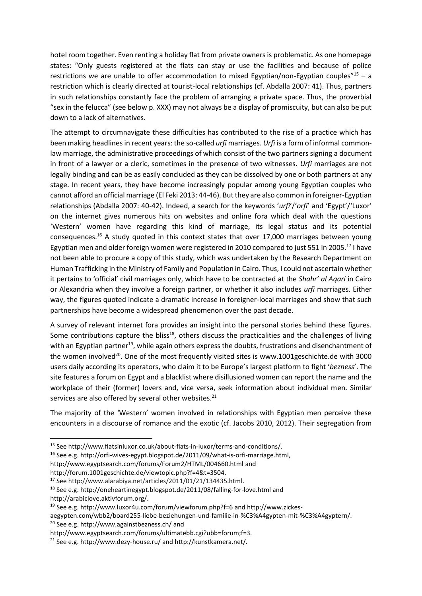hotel room together. Even renting a holiday flat from private owners is problematic. As one homepage states: "Only guests registered at the flats can stay or use the facilities and because of police restrictions we are unable to offer accommodation to mixed Egyptian/non-Egyptian couples"<sup>15</sup> – a restriction which is clearly directed at tourist-local relationships (cf. Abdalla 2007: 41). Thus, partners in such relationships constantly face the problem of arranging a private space. Thus, the proverbial "sex in the felucca" (see below p. XXX) may not always be a display of promiscuity, but can also be put down to a lack of alternatives.

The attempt to circumnavigate these difficulties has contributed to the rise of a practice which has been making headlines in recent years: the so-called *urfi* marriages. *Urfi* is a form of informal commonlaw marriage, the administrative proceedings of which consist of the two partners signing a document in front of a lawyer or a cleric, sometimes in the presence of two witnesses. *Urfi* marriages are not legally binding and can be as easily concluded as they can be dissolved by one or both partners at any stage. In recent years, they have become increasingly popular among young Egyptian couples who cannot afford an official marriage (El Feki 2013: 44-46). But they are also common in foreigner-Egyptian relationships (Abdalla 2007: 40-42). Indeed, a search for the keywords '*urfi*'/'*orfi*' and 'Egypt'/'Luxor' on the internet gives numerous hits on websites and online fora which deal with the questions 'Western' women have regarding this kind of marriage, its legal status and its potential consequences.<sup>16</sup> A study quoted in this context states that over 17,000 marriages between young Egyptian men and older foreign women were registered in 2010 compared to just 551 in 2005.<sup>17</sup> I have not been able to procure a copy of this study, which was undertaken by the Research Department on Human Trafficking in the Ministry of Family and Population in Cairo. Thus, I could not ascertain whether it pertains to 'official' civil marriages only, which have to be contracted at the *Shahr' al Aqari* in Cairo or Alexandria when they involve a foreign partner, or whether it also includes *urfi* marriages. Either way, the figures quoted indicate a dramatic increase in foreigner-local marriages and show that such partnerships have become a widespread phenomenon over the past decade.

A survey of relevant internet fora provides an insight into the personal stories behind these figures. Some contributions capture the bliss<sup>18</sup>, others discuss the practicalities and the challenges of living with an Egyptian partner<sup>19</sup>, while again others express the doubts, frustrations and disenchantment of the women involved<sup>20</sup>. One of the most frequently visited sites is [www.1001geschichte.de](http://www.1001geschichte.de/) with 3000 users daily according its operators, who claim it to be Europe's largest platform to fight '*bezness*'. The site features a forum on Egypt and a blacklist where disillusioned women can report the name and the workplace of their (former) lovers and, vice versa, seek information about individual men. Similar services are also offered by several other websites.<sup>21</sup>

The majority of the 'Western' women involved in relationships with Egyptian men perceive these encounters in a discourse of romance and the exotic (cf. Jacobs 2010, 2012). Their segregation from

http://forum.1001geschichte.de/viewtopic.php?f=4&t=3504.

<sup>15</sup> Se[e http://www.flatsinluxor.co.uk/about-flats-in-luxor/terms-and-conditions/.](http://www.flatsinluxor.co.uk/about-flats-in-luxor/terms-and-conditions/)

<sup>16</sup> See e.g[. http://orfi-wives-egypt.blogspot.de/2011/09/what-is-orfi-marriage.html,](http://orfi-wives-egypt.blogspot.de/2011/09/what-is-orfi-marriage.html)

<http://www.egyptsearch.com/forums/Forum2/HTML/004660.html> and

<sup>17</sup> See http://www.alarabiya.net/articles/2011/01/21/134435.html.

<sup>18</sup> See e.g[. http://oneheartinegypt.blogspot.de/2011/08/falling-for-love.html](http://oneheartinegypt.blogspot.de/2011/08/falling-for-love.html) and http://arabiclove.aktivforum.org/.

<sup>19</sup> See e.g[. http://www.luxor4u.com/forum/viewforum.php?f=6](http://www.luxor4u.com/forum/viewforum.php?f=6) and http://www.zickes-

aegypten.com/wbb2/board255-liebe-beziehungen-und-familie-in-%C3%A4gypten-mit-%C3%A4gyptern/. <sup>20</sup> See e.g[. http://www.againstbezness.ch/](http://www.againstbezness.ch/) and

http://www.egyptsearch.com/forums/ultimatebb.cgi?ubb=forum;f=3.

<sup>&</sup>lt;sup>21</sup> See e.g[. http://www.dezy-house.ru/](http://www.dezy-house.ru/) and http://kunstkamera.net/.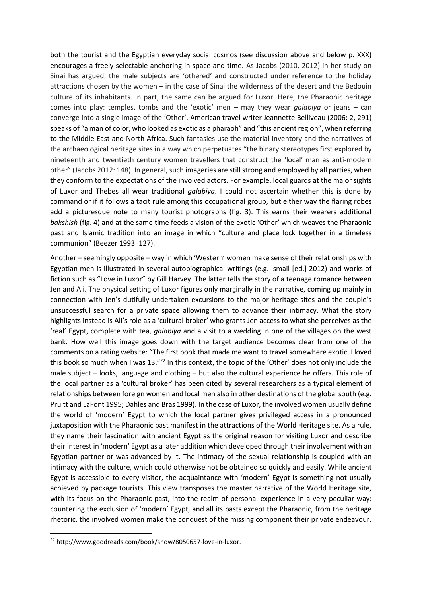both the tourist and the Egyptian everyday social cosmos (see discussion above and below p. XXX) encourages a freely selectable anchoring in space and time. As Jacobs (2010, 2012) in her study on Sinai has argued, the male subjects are 'othered' and constructed under reference to the holiday attractions chosen by the women – in the case of Sinai the wilderness of the desert and the Bedouin culture of its inhabitants. In part, the same can be argued for Luxor. Here, the Pharaonic heritage comes into play: temples, tombs and the 'exotic' men – may they wear *galabiya* or jeans – can converge into a single image of the 'Other'. American travel writer Jeannette Belliveau (2006: 2, 291) speaks of "a man of color, who looked as exotic as a pharaoh" and "this ancient region", when referring to the Middle East and North Africa. Such fantasies use the material inventory and the narratives of the archaeological heritage sites in a way which perpetuates "the binary stereotypes first explored by nineteenth and twentieth century women travellers that construct the 'local' man as anti-modern other" (Jacobs 2012: 148). In general, such imageries are still strong and employed by all parties, when they conform to the expectations of the involved actors. For example, local guards at the major sights of Luxor and Thebes all wear traditional *galabiya*. I could not ascertain whether this is done by command or if it follows a tacit rule among this occupational group, but either way the flaring robes add a picturesque note to many tourist photographs (fig. 3). This earns their wearers additional *bakshish* (fig. 4) and at the same time feeds a vision of the exotic 'Other' which weaves the Pharaonic past and Islamic tradition into an image in which "culture and place lock together in a timeless communion" (Beezer 1993: 127).

Another – seemingly opposite – way in which 'Western' women make sense of their relationships with Egyptian men is illustrated in several autobiographical writings (e.g. Ismail [ed.] 2012) and works of fiction such as "Love in Luxor" by Gill Harvey. The latter tells the story of a teenage romance between Jen and Ali. The physical setting of Luxor figures only marginally in the narrative, coming up mainly in connection with Jen's dutifully undertaken excursions to the major heritage sites and the couple's unsuccessful search for a private space allowing them to advance their intimacy. What the story highlights instead is Ali's role as a 'cultural broker' who grants Jen access to what she perceives as the 'real' Egypt, complete with tea, *galabiya* and a visit to a wedding in one of the villages on the west bank. How well this image goes down with the target audience becomes clear from one of the comments on a rating website: "The first book that made me want to travel somewhere exotic. I loved this book so much when I was 13."<sup>22</sup> In this context, the topic of the 'Other' does not only include the male subject – looks, language and clothing – but also the cultural experience he offers. This role of the local partner as a 'cultural broker' has been cited by several researchers as a typical element of relationships between foreign women and local men also in other destinations of the global south (e.g. Pruitt and LaFont 1995; Dahles and Bras 1999). In the case of Luxor, the involved women usually define the world of 'modern' Egypt to which the local partner gives privileged access in a pronounced juxtaposition with the Pharaonic past manifest in the attractions of the World Heritage site. As a rule, they name their fascination with ancient Egypt as the original reason for visiting Luxor and describe their interest in 'modern' Egypt as a later addition which developed through their involvement with an Egyptian partner or was advanced by it. The intimacy of the sexual relationship is coupled with an intimacy with the culture, which could otherwise not be obtained so quickly and easily. While ancient Egypt is accessible to every visitor, the acquaintance with 'modern' Egypt is something not usually achieved by package tourists. This view transposes the master narrative of the World Heritage site, with its focus on the Pharaonic past, into the realm of personal experience in a very peculiar way: countering the exclusion of 'modern' Egypt, and all its pasts except the Pharaonic, from the heritage rhetoric, the involved women make the conquest of the missing component their private endeavour.

<sup>22</sup> [http://www.goodreads.com/book/show/8050657-love-in-luxor.](http://www.goodreads.com/book/show/8050657-love-in-luxor)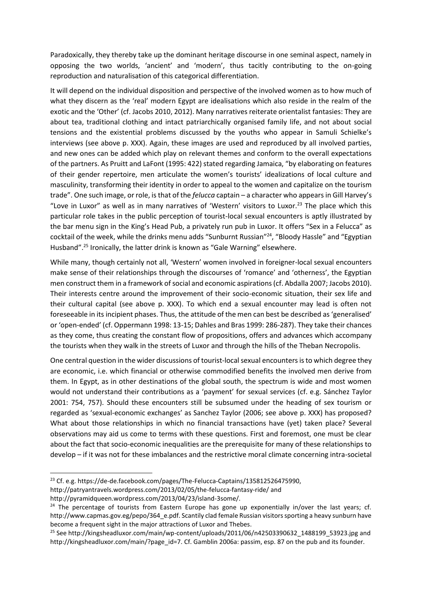Paradoxically, they thereby take up the dominant heritage discourse in one seminal aspect, namely in opposing the two worlds, 'ancient' and 'modern', thus tacitly contributing to the on-going reproduction and naturalisation of this categorical differentiation.

It will depend on the individual disposition and perspective of the involved women as to how much of what they discern as the 'real' modern Egypt are idealisations which also reside in the realm of the exotic and the 'Other' (cf. Jacobs 2010, 2012). Many narratives reiterate orientalist fantasies: They are about tea, traditional clothing and intact patriarchically organised family life, and not about social tensions and the existential problems discussed by the youths who appear in Samuli Schielke's interviews (see above p. XXX). Again, these images are used and reproduced by all involved parties, and new ones can be added which play on relevant themes and conform to the overall expectations of the partners. As Pruitt and LaFont (1995: 422) stated regarding Jamaica, "by elaborating on features of their gender repertoire, men articulate the women's tourists' idealizations of local culture and masculinity, transforming their identity in order to appeal to the women and capitalize on the tourism trade". One such image, or role, is that of the *felucca* captain – a character who appears in Gill Harvey's "Love in Luxor" as well as in many narratives of 'Western' visitors to Luxor.<sup>23</sup> The place which this particular role takes in the public perception of tourist-local sexual encounters is aptly illustrated by the bar menu sign in the King's Head Pub, a privately run pub in Luxor. It offers "Sex in a Felucca" as cocktail of the week, while the drinks menu adds "Sunburnt Russian"<sup>24</sup>, "Bloody Hassle" and "Egyptian Husband".<sup>25</sup> Ironically, the latter drink is known as "Gale Warning" elsewhere.

While many, though certainly not all, 'Western' women involved in foreigner-local sexual encounters make sense of their relationships through the discourses of 'romance' and 'otherness', the Egyptian men construct them in a framework of social and economic aspirations (cf. Abdalla 2007; Jacobs 2010). Their interests centre around the improvement of their socio-economic situation, their sex life and their cultural capital (see above p. XXX). To which end a sexual encounter may lead is often not foreseeable in its incipient phases. Thus, the attitude of the men can best be described as 'generalised' or 'open-ended' (cf. Oppermann 1998: 13-15; Dahles and Bras 1999: 286-287). They take their chances as they come, thus creating the constant flow of propositions, offers and advances which accompany the tourists when they walk in the streets of Luxor and through the hills of the Theban Necropolis.

One central question in the wider discussions of tourist-local sexual encounters is to which degree they are economic, i.e. which financial or otherwise commodified benefits the involved men derive from them. In Egypt, as in other destinations of the global south, the spectrum is wide and most women would not understand their contributions as a 'payment' for sexual services (cf. e.g. Sánchez Taylor 2001: 754, 757). Should these encounters still be subsumed under the heading of sex tourism or regarded as 'sexual-economic exchanges' as Sanchez Taylor (2006; see above p. XXX) has proposed? What about those relationships in which no financial transactions have (yet) taken place? Several observations may aid us come to terms with these questions. First and foremost, one must be clear about the fact that socio-economic inequalities are the prerequisite for many of these relationships to develop – if it was not for these imbalances and the restrictive moral climate concerning intra-societal

<sup>23</sup> Cf. e.g. [https://de-de.facebook.com/pages/The-Felucca-Captains/135812526475990,](https://de-de.facebook.com/pages/The-Felucca-Captains/135812526475990)

http://patryantravels.wordpress.com/2013/02/05/the-felucca-fantasy-ride/ and http://pyramidqueen.wordpress.com/2013/04/23/island-3some/.

 $24$  The percentage of tourists from Eastern Europe has gone up exponentially in/over the last years; cf. http://www.capmas.gov.eg/pepo/364\_e.pdf. Scantily clad female Russian visitors sporting a heavy sunburn have become a frequent sight in the major attractions of Luxor and Thebes.

<sup>&</sup>lt;sup>25</sup> See http://kingsheadluxor.com/main/wp-content/uploads/2011/06/n42503390632\_1488199\_53923.jpg and [http://kingsheadluxor.com/main/?page\\_id=7.](http://kingsheadluxor.com/main/?page_id=7) Cf. Gamblin 2006a: passim, esp. 87 on the pub and its founder.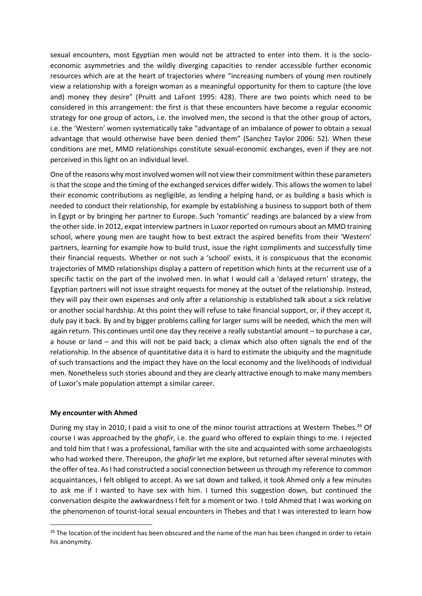sexual encounters, most Egyptian men would not be attracted to enter into them. It is the socioeconomic asymmetries and the wildly diverging capacities to render accessible further economic resources which are at the heart of trajectories where "increasing numbers of young men routinely view a relationship with a foreign woman as a meaningful opportunity for them to capture (the love and) money they desire" (Pruitt and LaFont 1995: 428). There are two points which need to be considered in this arrangement: the first is that these encounters have become a regular economic strategy for one group of actors, i.e. the involved men, the second is that the other group of actors, i.e. the 'Western' women systematically take "advantage of an imbalance of power to obtain a sexual advantage that would otherwise have been denied them" (Sanchez Taylor 2006: 52). When these conditions are met, MMD relationships constitute sexual-economic exchanges, even if they are not perceived in this light on an individual level.

One of the reasons why most involved women will not view their commitment within these parameters is that the scope and the timing of the exchanged services differ widely. This allows the women to label their economic contributions as negligible, as lending a helping hand, or as building a basis which is needed to conduct their relationship, for example by establishing a business to support both of them in Egypt or by bringing her partner to Europe. Such 'romantic' readings are balanced by a view from the other side. In 2012, expat interview partners in Luxor reported on rumours about an MMD training school, where young men are taught how to best extract the aspired benefits from their 'Western' partners, learning for example how to build trust, issue the right compliments and successfully time their financial requests. Whether or not such a 'school' exists, it is conspicuous that the economic trajectories of MMD relationships display a pattern of repetition which hints at the recurrent use of a specific tactic on the part of the involved men. In what I would call a 'delayed return' strategy, the Egyptian partners will not issue straight requests for money at the outset of the relationship. Instead, they will pay their own expenses and only after a relationship is established talk about a sick relative or another social hardship. At this point they will refuse to take financial support, or, if they accept it, duly pay it back. By and by bigger problems calling for larger sums will be needed, which the men will again return. This continues until one day they receive a really substantial amount – to purchase a car, a house or land – and this will not be paid back; a climax which also often signals the end of the relationship. In the absence of quantitative data it is hard to estimate the ubiquity and the magnitude of such transactions and the impact they have on the local economy and the livelihoods of individual men. Nonetheless such stories abound and they are clearly attractive enough to make many members of Luxor's male population attempt a similar career.

### **My encounter with Ahmed**

During my stay in 2010, I paid a visit to one of the minor tourist attractions at Western Thebes.<sup>26</sup> Of course I was approached by the *ghafir*, i.e. the guard who offered to explain things to me. I rejected and told him that I was a professional, familiar with the site and acquainted with some archaeologists who had worked there. Thereupon, the *ghafir* let me explore, but returned after several minutes with the offer of tea. As I had constructed a social connection between us through my reference to common acquaintances, I felt obliged to accept. As we sat down and talked, it took Ahmed only a few minutes to ask me if I wanted to have sex with him. I turned this suggestion down, but continued the conversation despite the awkwardness I felt for a moment or two. I told Ahmed that I was working on the phenomenon of tourist-local sexual encounters in Thebes and that I was interested to learn how

<sup>&</sup>lt;sup>26</sup> The location of the incident has been obscured and the name of the man has been changed in order to retain his anonymity.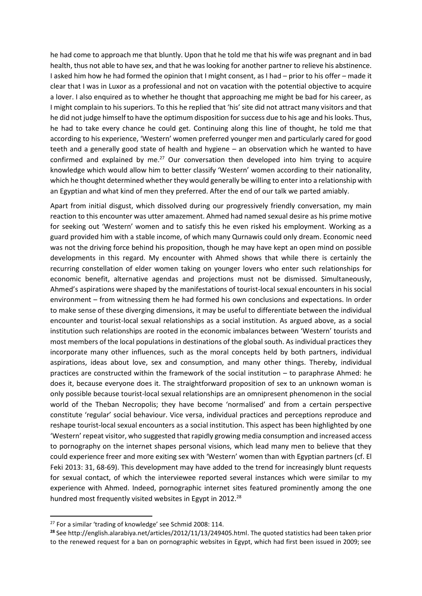he had come to approach me that bluntly. Upon that he told me that his wife was pregnant and in bad health, thus not able to have sex, and that he was looking for another partner to relieve his abstinence. I asked him how he had formed the opinion that I might consent, as I had – prior to his offer – made it clear that I was in Luxor as a professional and not on vacation with the potential objective to acquire a lover. I also enquired as to whether he thought that approaching me might be bad for his career, as I might complain to his superiors. To this he replied that 'his' site did not attract many visitors and that he did not judge himself to have the optimum disposition for success due to his age and his looks. Thus, he had to take every chance he could get. Continuing along this line of thought, he told me that according to his experience, 'Western' women preferred younger men and particularly cared for good teeth and a generally good state of health and hygiene – an observation which he wanted to have confirmed and explained by me. $27$  Our conversation then developed into him trying to acquire knowledge which would allow him to better classify 'Western' women according to their nationality, which he thought determined whether they would generally be willing to enter into a relationship with an Egyptian and what kind of men they preferred. After the end of our talk we parted amiably.

Apart from initial disgust, which dissolved during our progressively friendly conversation, my main reaction to this encounter was utter amazement. Ahmed had named sexual desire as his prime motive for seeking out 'Western' women and to satisfy this he even risked his employment. Working as a guard provided him with a stable income, of which many Qurnawis could only dream. Economic need was not the driving force behind his proposition, though he may have kept an open mind on possible developments in this regard. My encounter with Ahmed shows that while there is certainly the recurring constellation of elder women taking on younger lovers who enter such relationships for economic benefit, alternative agendas and projections must not be dismissed. Simultaneously, Ahmed's aspirations were shaped by the manifestations of tourist-local sexual encounters in his social environment – from witnessing them he had formed his own conclusions and expectations. In order to make sense of these diverging dimensions, it may be useful to differentiate between the individual encounter and tourist-local sexual relationships as a social institution. As argued above, as a social institution such relationships are rooted in the economic imbalances between 'Western' tourists and most members of the local populations in destinations of the global south. As individual practices they incorporate many other influences, such as the moral concepts held by both partners, individual aspirations, ideas about love, sex and consumption, and many other things. Thereby, individual practices are constructed within the framework of the social institution – to paraphrase Ahmed: he does it, because everyone does it. The straightforward proposition of sex to an unknown woman is only possible because tourist-local sexual relationships are an omnipresent phenomenon in the social world of the Theban Necropolis; they have become 'normalised' and from a certain perspective constitute 'regular' social behaviour. Vice versa, individual practices and perceptions reproduce and reshape tourist-local sexual encounters as a social institution. This aspect has been highlighted by one 'Western' repeat visitor, who suggested that rapidly growing media consumption and increased access to pornography on the internet shapes personal visions, which lead many men to believe that they could experience freer and more exiting sex with 'Western' women than with Egyptian partners (cf. El Feki 2013: 31, 68-69). This development may have added to the trend for increasingly blunt requests for sexual contact, of which the interviewee reported several instances which were similar to my experience with Ahmed. Indeed, pornographic internet sites featured prominently among the one hundred most frequently visited websites in Egypt in 2012.<sup>28</sup>

<sup>&</sup>lt;sup>27</sup> For a similar 'trading of knowledge' see Schmid 2008: 114.

**<sup>28</sup>** See [http://english.alarabiya.net/articles/2012/11/13/249405.html.](http://english.alarabiya.net/articles/2012/11/13/249405.html) The quoted statistics had been taken prior to the renewed request for a ban on pornographic websites in Egypt, which had first been issued in 2009; see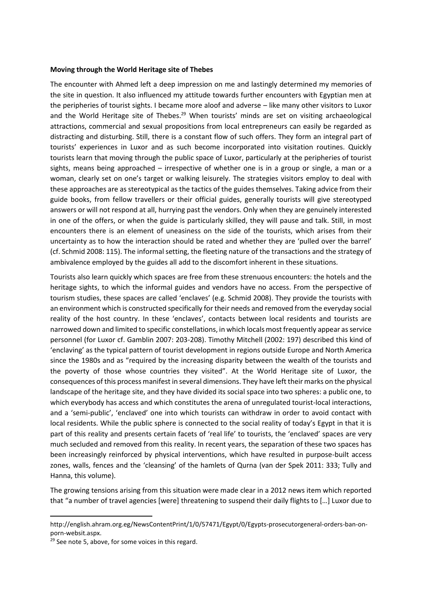#### **Moving through the World Heritage site of Thebes**

The encounter with Ahmed left a deep impression on me and lastingly determined my memories of the site in question. It also influenced my attitude towards further encounters with Egyptian men at the peripheries of tourist sights. I became more aloof and adverse – like many other visitors to Luxor and the World Heritage site of Thebes.<sup>29</sup> When tourists' minds are set on visiting archaeological attractions, commercial and sexual propositions from local entrepreneurs can easily be regarded as distracting and disturbing. Still, there is a constant flow of such offers. They form an integral part of tourists' experiences in Luxor and as such become incorporated into visitation routines. Quickly tourists learn that moving through the public space of Luxor, particularly at the peripheries of tourist sights, means being approached – irrespective of whether one is in a group or single, a man or a woman, clearly set on one's target or walking leisurely. The strategies visitors employ to deal with these approaches are as stereotypical as the tactics of the guides themselves. Taking advice from their guide books, from fellow travellers or their official guides, generally tourists will give stereotyped answers or will not respond at all, hurrying past the vendors. Only when they are genuinely interested in one of the offers, or when the guide is particularly skilled, they will pause and talk. Still, in most encounters there is an element of uneasiness on the side of the tourists, which arises from their uncertainty as to how the interaction should be rated and whether they are 'pulled over the barrel' (cf. Schmid 2008: 115). The informal setting, the fleeting nature of the transactions and the strategy of ambivalence employed by the guides all add to the discomfort inherent in these situations.

Tourists also learn quickly which spaces are free from these strenuous encounters: the hotels and the heritage sights, to which the informal guides and vendors have no access. From the perspective of tourism studies, these spaces are called 'enclaves' (e.g. Schmid 2008). They provide the tourists with an environment which is constructed specifically for their needs and removed from the everyday social reality of the host country. In these 'enclaves', contacts between local residents and tourists are narrowed down and limited to specific constellations, in which locals most frequently appear as service personnel (for Luxor cf. Gamblin 2007: 203-208). Timothy Mitchell (2002: 197) described this kind of 'enclaving' as the typical pattern of tourist development in regions outside Europe and North America since the 1980s and as "required by the increasing disparity between the wealth of the tourists and the poverty of those whose countries they visited". At the World Heritage site of Luxor, the consequences of this process manifest in several dimensions. They have left their marks on the physical landscape of the heritage site, and they have divided its social space into two spheres: a public one, to which everybody has access and which constitutes the arena of unregulated tourist-local interactions, and a 'semi-public', 'enclaved' one into which tourists can withdraw in order to avoid contact with local residents. While the public sphere is connected to the social reality of today's Egypt in that it is part of this reality and presents certain facets of 'real life' to tourists, the 'enclaved' spaces are very much secluded and removed from this reality. In recent years, the separation of these two spaces has been increasingly reinforced by physical interventions, which have resulted in purpose-built access zones, walls, fences and the 'cleansing' of the hamlets of Qurna (van der Spek 2011: 333; Tully and Hanna, this volume).

The growing tensions arising from this situation were made clear in a 2012 news item which reported that "a number of travel agencies [were] threatening to suspend their daily flights to […] Luxor due to

http://english.ahram.org.eg/NewsContentPrint/1/0/57471/Egypt/0/Egypts-prosecutorgeneral-orders-ban-onporn-websit.aspx.

<sup>&</sup>lt;sup>29</sup> See note 5, above, for some voices in this regard.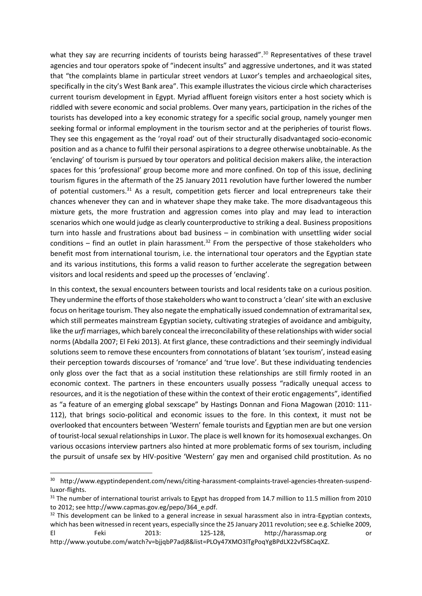what they say are recurring incidents of tourists being harassed".<sup>30</sup> Representatives of these travel agencies and tour operators spoke of "indecent insults" and aggressive undertones, and it was stated that "the complaints blame in particular street vendors at Luxor's temples and archaeological sites, specifically in the city's West Bank area". This example illustrates the vicious circle which characterises current tourism development in Egypt. Myriad affluent foreign visitors enter a host society which is riddled with severe economic and social problems. Over many years, participation in the riches of the tourists has developed into a key economic strategy for a specific social group, namely younger men seeking formal or informal employment in the tourism sector and at the peripheries of tourist flows. They see this engagement as the 'royal road' out of their structurally disadvantaged socio-economic position and as a chance to fulfil their personal aspirations to a degree otherwise unobtainable. As the 'enclaving' of tourism is pursued by tour operators and political decision makers alike, the interaction spaces for this 'professional' group become more and more confined. On top of this issue, declining tourism figures in the aftermath of the 25 January 2011 revolution have further lowered the number of potential customers.<sup>31</sup> As a result, competition gets fiercer and local entrepreneurs take their chances whenever they can and in whatever shape they make take. The more disadvantageous this mixture gets, the more frustration and aggression comes into play and may lead to interaction scenarios which one would judge as clearly counterproductive to striking a deal. Business propositions turn into hassle and frustrations about bad business – in combination with unsettling wider social conditions – find an outlet in plain harassment.<sup>32</sup> From the perspective of those stakeholders who benefit most from international tourism, i.e. the international tour operators and the Egyptian state and its various institutions, this forms a valid reason to further accelerate the segregation between visitors and local residents and speed up the processes of 'enclaving'.

In this context, the sexual encounters between tourists and local residents take on a curious position. They undermine the efforts of those stakeholders who want to construct a 'clean' site with an exclusive focus on heritage tourism. They also negate the emphatically issued condemnation of extramarital sex, which still permeates mainstream Egyptian society, cultivating strategies of avoidance and ambiguity, like the *urfi* marriages, which barely conceal th[e irreconcilability o](http://www.dict.cc/englisch-deutsch/irreconcilableness.html)f these relationships with wider social norms (Abdalla 2007; El Feki 2013). At first glance, these contradictions and their seemingly individual solutions seem to remove these encounters from connotations of blatant 'sex tourism', instead easing their perception towards discourses of 'romance' and 'true love'. But these individuating tendencies only gloss over the fact that as a social institution these relationships are still firmly rooted in an economic context. The partners in these encounters usually possess "radically unequal access to resources, and it is the negotiation of these within the context of their erotic engagements", identified as "a feature of an emerging global sexscape" by Hastings Donnan and Fiona Magowan (2010: 111- 112), that brings socio-political and economic issues to the fore. In this context, it must not be overlooked that encounters between 'Western' female tourists and Egyptian men are but one version of tourist-local sexual relationships in Luxor. The place is well known for its homosexual exchanges. On various occasions interview partners also hinted at more problematic forms of sex tourism, including the pursuit of unsafe sex by HIV-positive 'Western' gay men and organised child prostitution. As no

<sup>&</sup>lt;sup>30</sup> http://www.egyptindependent.com/news/citing-harassment-complaints-travel-agencies-threaten-suspendluxor-flights.

<sup>&</sup>lt;sup>31</sup> The number of international tourist arrivals to Egypt has dropped from 14.7 million to 11.5 million from 2010 to 2012; see http://www.capmas.gov.eg/pepo/364\_e.pdf.

 $32$  This development can be linked to a general increase in sexual harassment also in intra-Egyptian contexts, which has been witnessed in recent years, especially since the 25 January 2011 revolution; see e.g. Schielke 2009, El Feki 2013: 125-128, [http://harassmap.org](http://harassmap.org/) or http://www.youtube.com/watch?v=bjjqbP7adj8&list=PLOy47XMO3lTgPoqYgBPdLX22vf58CaqXZ.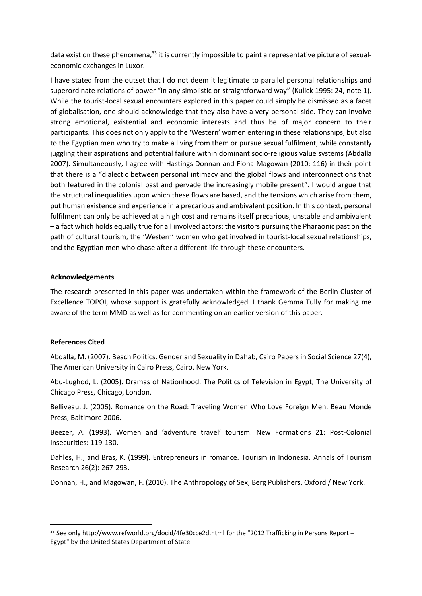data exist on these phenomena,<sup>33</sup> it is currently impossible to paint a representative picture of sexualeconomic exchanges in Luxor.

I have stated from the outset that I do not deem it legitimate to parallel personal relationships and superordinate relations of power "in any simplistic or straightforward way" (Kulick 1995: 24, note 1). While the tourist-local sexual encounters explored in this paper could simply be dismissed as a facet of globalisation, one should acknowledge that they also have a very personal side. They can involve strong emotional, existential and economic interests and thus be of major concern to their participants. This does not only apply to the 'Western' women entering in these relationships, but also to the Egyptian men who try to make a living from them or pursue sexual fulfilment, while constantly juggling their aspirations and potential failure within dominant socio-religious value systems (Abdalla 2007). Simultaneously, I agree with Hastings Donnan and Fiona Magowan (2010: 116) in their point that there is a "dialectic between personal intimacy and the global flows and interconnections that both featured in the colonial past and pervade the increasingly mobile present". I would argue that the structural inequalities upon which these flows are based, and the tensions which arise from them, put human existence and experience in a precarious and ambivalent position. In this context, personal fulfilment can only be achieved at a high cost and remains itself precarious, unstable and ambivalent – a fact which holds equally true for all involved actors: the visitors pursuing the Pharaonic past on the path of cultural tourism, the 'Western' women who get involved in tourist-local sexual relationships, and the Egyptian men who chase after a different life through these encounters.

### **Acknowledgements**

The research presented in this paper was undertaken within the framework of the Berlin Cluster of Excellence TOPOI, whose support is gratefully acknowledged. I thank Gemma Tully for making me aware of the term MMD as well as for commenting on an earlier version of this paper.

### **References Cited**

Abdalla, M. (2007). Beach Politics. Gender and Sexuality in Dahab, Cairo Papers in Social Science 27(4), The American University in Cairo Press, Cairo, New York.

Abu-Lughod, L. (2005). Dramas of Nationhood. The Politics of Television in Egypt, The University of Chicago Press, Chicago, London.

Belliveau, J. (2006). Romance on the Road: Traveling Women Who Love Foreign Men, Beau Monde Press, Baltimore 2006.

Beezer, A. (1993). Women and 'adventure travel' tourism. New Formations 21: Post-Colonial Insecurities: 119-130.

Dahles, H., and Bras, K. (1999). Entrepreneurs in romance. Tourism in Indonesia. Annals of Tourism Research 26(2): 267-293.

Donnan, H., and Magowan, F. (2010). The Anthropology of Sex, Berg Publishers, Oxford / New York.

<sup>33</sup> See only<http://www.refworld.org/docid/4fe30cce2d.html> for the "2012 Trafficking in Persons Report -Egypt" by the [United States Department of State.](http://www.refworld.org/publisher/USDOS.html)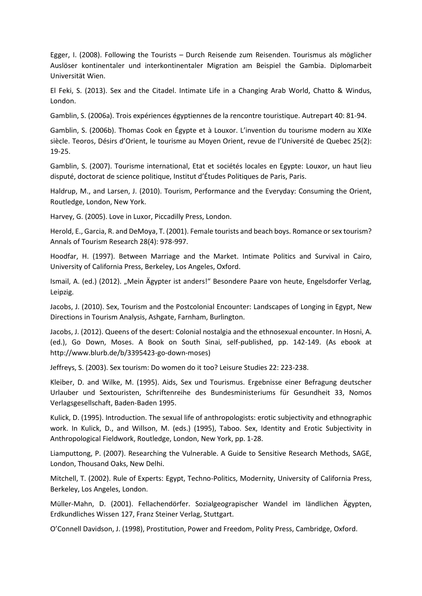Egger, I. (2008). Following the Tourists – Durch Reisende zum Reisenden. Tourismus als möglicher Auslöser kontinentaler und interkontinentaler Migration am Beispiel the Gambia. Diplomarbeit Universität Wien.

El Feki, S. (2013). Sex and the Citadel. Intimate Life in a Changing Arab World, Chatto & Windus, London.

Gamblin, S. (2006a). Trois expériences égyptiennes de la rencontre touristique. Autrepart 40: 81-94.

Gamblin, S. (2006b). Thomas Cook en Égypte et à Louxor. L'invention du tourisme modern au XIXe siècle. Teoros, Désirs d'Orient, le tourisme au Moyen Orient, revue de l'Université de Quebec 25(2): 19-25.

Gamblin, S. (2007). Tourisme international, Etat et sociétés locales en Egypte: Louxor, un haut lieu disputé, doctorat de science politique, Institut d'Études Politiques de Paris, Paris.

Haldrup, M., and Larsen, J. (2010). Tourism, Performance and the Everyday: Consuming the Orient, Routledge, London, New York.

Harvey, G. (2005). Love in Luxor, Piccadilly Press, London.

Herold, E., Garcia, R. and DeMoya, T. (2001). Female tourists and beach boys. Romance or sex tourism? Annals of Tourism Research 28(4): 978-997.

Hoodfar, H. (1997). Between Marriage and the Market. Intimate Politics and Survival in Cairo, University of California Press, Berkeley, Los Angeles, Oxford.

Ismail, A. (ed.) (2012). "Mein Ägypter ist anders!" Besondere Paare von heute, Engelsdorfer Verlag, Leipzig.

Jacobs, J. (2010). [Sex, Tourism and the Postcolonial Encounter: Landscapes of Longing in Egypt,](http://www.academia.edu/612403/Sex_Tourism_and_the_Postcolonial_Encounter_Landscapes_of_Longing_in_Egypt) New Directions in Tourism Analysis, Ashgate, Farnham, Burlington.

Jacobs, J. (2012). [Queens of the desert: Colonial nostalgia and the ethnosexual encounter.](http://www.academia.edu/1936341/Queens_of_the_desert_Colonia_nostalgia_and_the_ethnosexual_encounter) In Hosni, A. (ed.), Go Down, Moses. A Book on South Sinai, self-published, pp. 142-149. (As ebook at [http://www.blurb.de/b/3395423-go-down-moses\)](http://www.blurb.de/b/3395423-go-down-moses)

Jeffreys, S. (2003). Sex tourism: Do women do it too? Leisure Studies 22: 223-238.

Kleiber, D. and Wilke, M. (1995). Aids, Sex und Tourismus. Ergebnisse einer Befragung deutscher Urlauber und Sextouristen, Schriftenreihe des Bundesministeriums für Gesundheit 33, Nomos Verlagsgesellschaft, Baden-Baden 1995.

Kulick, D. (1995). Introduction. The sexual life of anthropologists: erotic subjectivity and ethnographic work. In Kulick, D., and Willson, M. (eds.) (1995), Taboo. Sex, Identity and Erotic Subjectivity in Anthropological Fieldwork, Routledge, London, New York, pp. 1-28.

Liamputtong, P. (2007). Researching the Vulnerable. A Guide to Sensitive Research Methods, SAGE, London, Thousand Oaks, New Delhi.

Mitchell, T. (2002). Rule of Experts: Egypt, Techno-Politics, Modernity, University of California Press, Berkeley, Los Angeles, London.

Müller-Mahn, D. (2001). Fellachendörfer. Sozialgeograpischer Wandel im ländlichen Ägypten, Erdkundliches Wissen 127, Franz Steiner Verlag, Stuttgart.

O'Connell Davidson, J. (1998), Prostitution, Power and Freedom, Polity Press, Cambridge, Oxford.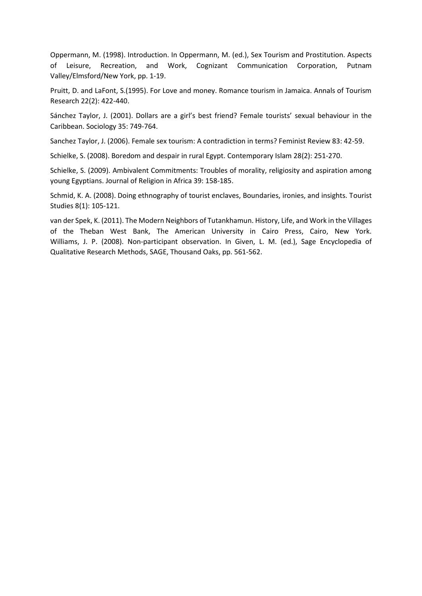Oppermann, M. (1998). Introduction. In Oppermann, M. (ed.), Sex Tourism and Prostitution. Aspects of Leisure, Recreation, and Work, Cognizant Communication Corporation, Putnam Valley/Elmsford/New York, pp. 1-19.

Pruitt, D. and LaFont, S.(1995). For Love and money. Romance tourism in Jamaica. Annals of Tourism Research 22(2): 422-440.

Sánchez Taylor, J. (2001). Dollars are a girl's best friend? Female tourists' sexual behaviour in the Caribbean. Sociology 35: 749-764.

Sanchez Taylor, J. (2006). Female sex tourism: A contradiction in terms? Feminist Review 83: 42-59.

Schielke, S. (2008). Boredom and despair in rural Egypt. Contemporary Islam 28(2): 251-270.

Schielke, S. (2009). Ambivalent Commitments: Troubles of morality, religiosity and aspiration among young Egyptians. Journal of Religion in Africa 39: 158-185.

Schmid, K. A. (2008). Doing ethnography of tourist enclaves, Boundaries, ironies, and insights. Tourist Studies 8(1): 105-121.

van der Spek, K. (2011). The Modern Neighbors of Tutankhamun. History, Life, and Work in the Villages of the Theban West Bank, The American University in Cairo Press, Cairo, New York. Williams, J. P. (2008). [Non-participant observation.](http://www3.ntu.edu.sg/home/patrick.williams/PDFs/Williams%20-%20Nonparticipant%20observation.pdf) In Given, L. M. (ed.), Sage Encyclopedia of Qualitative Research Methods, SAGE, Thousand Oaks, pp. 561-562.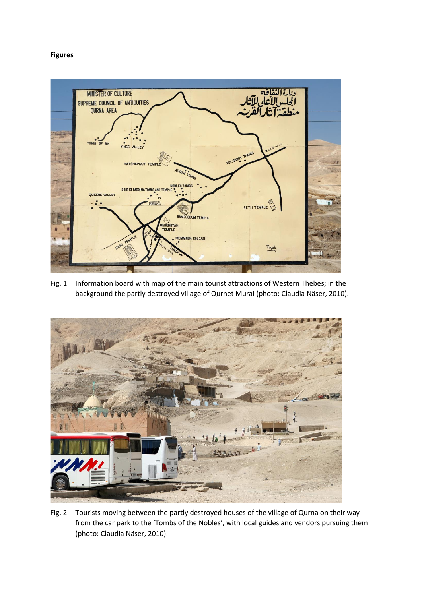## **Figures**



Fig. 1 Information board with map of the main tourist attractions of Western Thebes; in the background the partly destroyed village of Qurnet Murai (photo: Claudia Näser, 2010).



Fig. 2 Tourists moving between the partly destroyed houses of the village of Qurna on their way from the car park to the 'Tombs of the Nobles', with local guides and vendors pursuing them (photo: Claudia Näser, 2010).